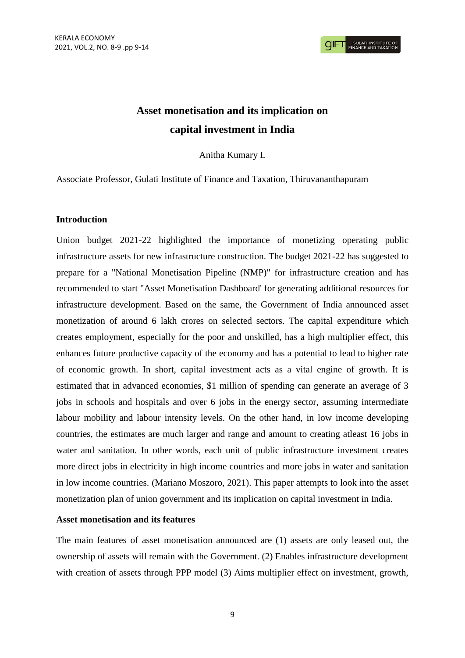# **Asset monetisation and its implication on capital investment in India**

Anitha Kumary L

Associate Professor, Gulati Institute of Finance and Taxation, Thiruvananthapuram

## **Introduction**

Union budget 2021-22 highlighted the importance of monetizing operating public infrastructure assets for new infrastructure construction. The budget 2021-22 has suggested to prepare for a "National Monetisation Pipeline (NMP)" for infrastructure creation and has recommended to start "Asset Monetisation Dashboard' for generating additional resources for infrastructure development. Based on the same, the Government of India announced asset monetization of around 6 lakh crores on selected sectors. The capital expenditure which creates employment, especially for the poor and unskilled, has a high multiplier effect, this enhances future productive capacity of the economy and has a potential to lead to higher rate of economic growth. In short, capital investment acts as a vital engine of growth. It is estimated that in advanced economies, \$1 million of spending can generate an average of 3 jobs in schools and hospitals and over 6 jobs in the energy sector, assuming intermediate labour mobility and labour intensity levels. On the other hand, in low income developing countries, the estimates are much larger and range and amount to creating atleast 16 jobs in water and sanitation. In other words, each unit of public infrastructure investment creates more direct jobs in electricity in high income countries and more jobs in water and sanitation in low income countries. (Mariano Moszoro, 2021). This paper attempts to look into the asset monetization plan of union government and its implication on capital investment in India.

### **Asset monetisation and its features**

The main features of asset monetisation announced are (1) assets are only leased out, the ownership of assets will remain with the Government. (2) Enables infrastructure development with creation of assets through PPP model (3) Aims multiplier effect on investment, growth,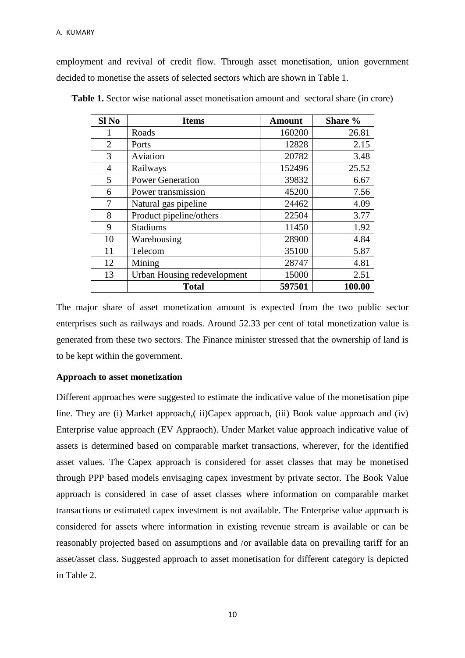employment and revival of credit flow. Through asset monetisation, union government decided to monetise the assets of selected sectors which are shown in Table 1.

| Sl <sub>No</sub> | <b>Items</b>                | <b>Amount</b> | Share % |  |
|------------------|-----------------------------|---------------|---------|--|
|                  | Roads                       | 160200        | 26.81   |  |
| $\overline{2}$   | Ports                       | 12828         | 2.15    |  |
| 3                | Aviation                    | 20782         | 3.48    |  |
| $\overline{4}$   | Railways                    | 152496        | 25.52   |  |
| 5                | <b>Power Generation</b>     | 39832         | 6.67    |  |
| 6                | Power transmission          | 45200         | 7.56    |  |
| 7                | Natural gas pipeline        | 24462         | 4.09    |  |
| 8                | Product pipeline/others     | 22504         | 3.77    |  |
| 9                | Stadiums                    | 11450         | 1.92    |  |
| 10               | Warehousing                 | 28900         | 4.84    |  |
| 11               | Telecom                     | 35100         | 5.87    |  |
| 12               | Mining                      | 28747         | 4.81    |  |
| 13               | Urban Housing redevelopment | 15000         | 2.51    |  |
|                  | <b>Total</b>                | 597501        | 100.00  |  |

**Table 1.** Sector wise national asset monetisation amount and sectoral share (in crore)

The major share of asset monetization amount is expected from the two public sector enterprises such as railways and roads. Around 52.33 per cent of total monetization value is generated from these two sectors. The Finance minister stressed that the ownership of land is to be kept within the government.

### **Approach to asset monetization**

Different approaches were suggested to estimate the indicative value of the monetisation pipe line. They are (i) Market approach,( ii)Capex approach, (iii) Book value approach and (iv) Enterprise value approach (EV Appraoch). Under Market value approach indicative value of assets is determined based on comparable market transactions, wherever, for the identified asset values. The Capex approach is considered for asset classes that may be monetised through PPP based models envisaging capex investment by private sector. The Book Value approach is considered in case of asset classes where information on comparable market transactions or estimated capex investment is not available. The Enterprise value approach is considered for assets where information in existing revenue stream is available or can be reasonably projected based on assumptions and /or available data on prevailing tariff for an asset/asset class. Suggested approach to asset monetisation for different category is depicted in Table 2.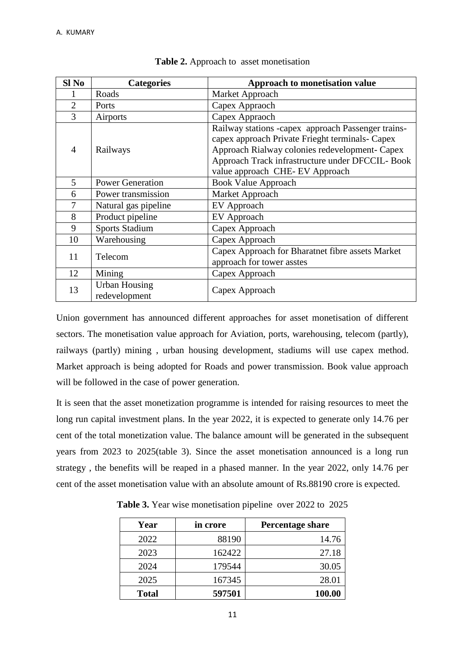| Sl No          | <b>Categories</b>                     | Approach to monetisation value                                                                                                                                                                                                                |
|----------------|---------------------------------------|-----------------------------------------------------------------------------------------------------------------------------------------------------------------------------------------------------------------------------------------------|
|                | Roads                                 | Market Approach                                                                                                                                                                                                                               |
| $\overline{2}$ | Ports                                 | Capex Appraoch                                                                                                                                                                                                                                |
| 3              | Airports                              | Capex Appraoch                                                                                                                                                                                                                                |
| 4              | Railways                              | Railway stations -capex approach Passenger trains-<br>capex approach Private Frieght terminals- Capex<br>Approach Rialway colonies redevelopment- Capex<br>Approach Track infrastructure under DFCCIL- Book<br>value approach CHE-EV Approach |
| 5              | <b>Power Generation</b>               | <b>Book Value Approach</b>                                                                                                                                                                                                                    |
| 6              | Power transmission                    | Market Approach                                                                                                                                                                                                                               |
| 7              | Natural gas pipeline                  | EV Approach                                                                                                                                                                                                                                   |
| 8              | Product pipeline                      | EV Approach                                                                                                                                                                                                                                   |
| 9              | <b>Sports Stadium</b>                 | Capex Approach                                                                                                                                                                                                                                |
| 10             | Warehousing                           | Capex Approach                                                                                                                                                                                                                                |
| 11             | Telecom                               | Capex Approach for Bharatnet fibre assets Market<br>approach for tower asstes                                                                                                                                                                 |
| 12             | Mining                                | Capex Approach                                                                                                                                                                                                                                |
| 13             | <b>Urban Housing</b><br>redevelopment | Capex Approach                                                                                                                                                                                                                                |

| Table 2. Approach to asset monetisation |  |
|-----------------------------------------|--|
|-----------------------------------------|--|

Union government has announced different approaches for asset monetisation of different sectors. The monetisation value approach for Aviation, ports, warehousing, telecom (partly), railways (partly) mining , urban housing development, stadiums will use capex method. Market approach is being adopted for Roads and power transmission. Book value approach will be followed in the case of power generation.

It is seen that the asset monetization programme is intended for raising resources to meet the long run capital investment plans. In the year 2022, it is expected to generate only 14.76 per cent of the total monetization value. The balance amount will be generated in the subsequent years from 2023 to 2025(table 3). Since the asset monetisation announced is a long run strategy , the benefits will be reaped in a phased manner. In the year 2022, only 14.76 per cent of the asset monetisation value with an absolute amount of Rs.88190 crore is expected.

| Year         | in crore | Percentage share |
|--------------|----------|------------------|
| 2022         | 88190    | 14.76            |
| 2023         | 162422   | 27.18            |
| 2024         | 179544   | 30.05            |
| 2025         | 167345   | 28.01            |
| <b>Total</b> | 597501   | 100.00           |

**Table 3.** Year wise monetisation pipeline over 2022 to 2025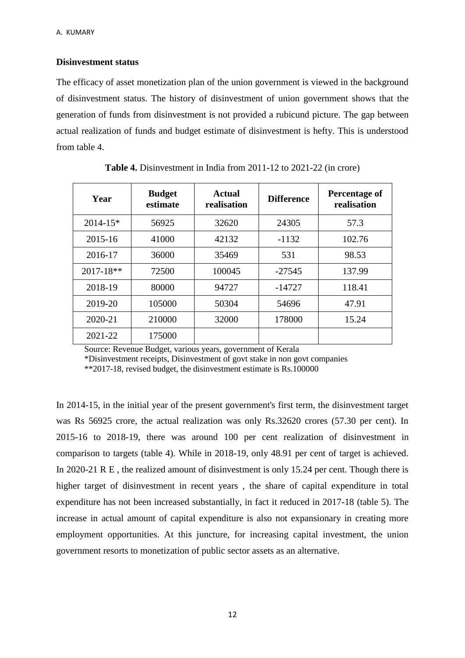### **Disinvestment status**

The efficacy of asset monetization plan of the union government is viewed in the background of disinvestment status. The history of disinvestment of union government shows that the generation of funds from disinvestment is not provided a rubicund picture. The gap between actual realization of funds and budget estimate of disinvestment is hefty. This is understood from table 4.

| Year          | <b>Budget</b><br>estimate | <b>Actual</b><br>realisation | <b>Difference</b> | Percentage of<br>realisation |  |
|---------------|---------------------------|------------------------------|-------------------|------------------------------|--|
| $2014 - 15*$  | 56925                     | 32620                        | 24305             | 57.3                         |  |
| 2015-16       | 41000                     | 42132                        | $-1132$           | 102.76                       |  |
| 2016-17       | 36000                     | 35469                        | 531               | 98.53                        |  |
| $2017 - 18**$ | 72500                     | 100045                       | $-27545$          | 137.99                       |  |
| 2018-19       | 80000                     | 94727                        | $-14727$          | 118.41                       |  |
| 2019-20       | 105000                    | 50304                        | 54696             | 47.91                        |  |
| 2020-21       | 210000                    | 32000                        | 178000            | 15.24                        |  |
| 2021-22       | 175000                    |                              |                   |                              |  |

**Table 4.** Disinvestment in India from 2011-12 to 2021-22 (in crore)

Source: Revenue Budget, various years, government of Kerala

\*Disinvestment receipts, Disinvestment of govt stake in non govt companies

\*\*2017-18, revised budget, the disinvestment estimate is Rs.100000

In 2014-15, in the initial year of the present government's first term, the disinvestment target was Rs 56925 crore, the actual realization was only Rs.32620 crores (57.30 per cent). In 2015-16 to 2018-19, there was around 100 per cent realization of disinvestment in comparison to targets (table 4). While in 2018-19, only 48.91 per cent of target is achieved. In 2020-21 R E, the realized amount of disinvestment is only 15.24 per cent. Though there is higher target of disinvestment in recent years , the share of capital expenditure in total expenditure has not been increased substantially, in fact it reduced in 2017-18 (table 5). The increase in actual amount of capital expenditure is also not expansionary in creating more employment opportunities. At this juncture, for increasing capital investment, the union government resorts to monetization of public sector assets as an alternative.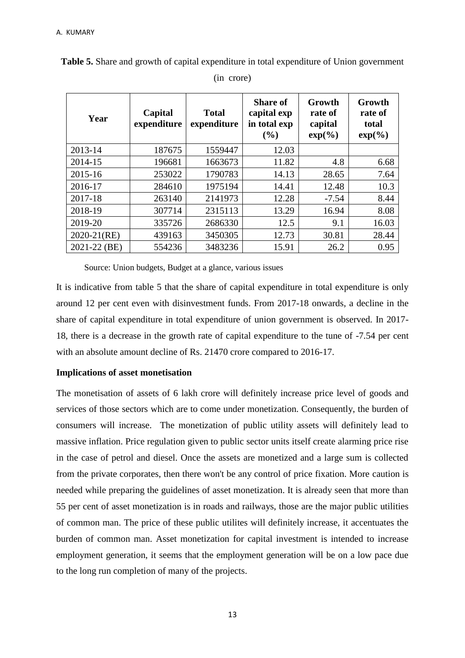| Year         | Capital<br>expenditure | <b>Total</b><br>expenditure | <b>Share of</b><br>capital exp<br>in total exp<br>(%) | Growth<br>rate of<br>capital<br>$exp(\frac{\theta}{\theta})$ | Growth<br>rate of<br>total<br>$exp(\frac{\theta}{\theta})$ |
|--------------|------------------------|-----------------------------|-------------------------------------------------------|--------------------------------------------------------------|------------------------------------------------------------|
| 2013-14      | 187675                 | 1559447                     | 12.03                                                 |                                                              |                                                            |
| 2014-15      | 196681                 | 1663673                     | 11.82                                                 | 4.8                                                          | 6.68                                                       |
| 2015-16      | 253022                 | 1790783                     | 14.13                                                 | 28.65                                                        | 7.64                                                       |
| 2016-17      | 284610                 | 1975194                     | 14.41                                                 | 12.48                                                        | 10.3                                                       |
| 2017-18      | 263140                 | 2141973                     | 12.28                                                 | $-7.54$                                                      | 8.44                                                       |
| 2018-19      | 307714                 | 2315113                     | 13.29                                                 | 16.94                                                        | 8.08                                                       |
| 2019-20      | 335726                 | 2686330                     | 12.5                                                  | 9.1                                                          | 16.03                                                      |
| 2020-21(RE)  | 439163                 | 3450305                     | 12.73                                                 | 30.81                                                        | 28.44                                                      |
| 2021-22 (BE) | 554236                 | 3483236                     | 15.91                                                 | 26.2                                                         | 0.95                                                       |

**Table 5.** Share and growth of capital expenditure in total expenditure of Union government (in crore)

Source: Union budgets, Budget at a glance, various issues

It is indicative from table 5 that the share of capital expenditure in total expenditure is only around 12 per cent even with disinvestment funds. From 2017-18 onwards, a decline in the share of capital expenditure in total expenditure of union government is observed. In 2017- 18, there is a decrease in the growth rate of capital expenditure to the tune of -7.54 per cent with an absolute amount decline of Rs. 21470 crore compared to 2016-17.

### **Implications of asset monetisation**

The monetisation of assets of 6 lakh crore will definitely increase price level of goods and services of those sectors which are to come under monetization. Consequently, the burden of consumers will increase. The monetization of public utility assets will definitely lead to massive inflation. Price regulation given to public sector units itself create alarming price rise in the case of petrol and diesel. Once the assets are monetized and a large sum is collected from the private corporates, then there won't be any control of price fixation. More caution is needed while preparing the guidelines of asset monetization. It is already seen that more than 55 per cent of asset monetization is in roads and railways, those are the major public utilities of common man. The price of these public utilites will definitely increase, it accentuates the burden of common man. Asset monetization for capital investment is intended to increase employment generation, it seems that the employment generation will be on a low pace due to the long run completion of many of the projects.